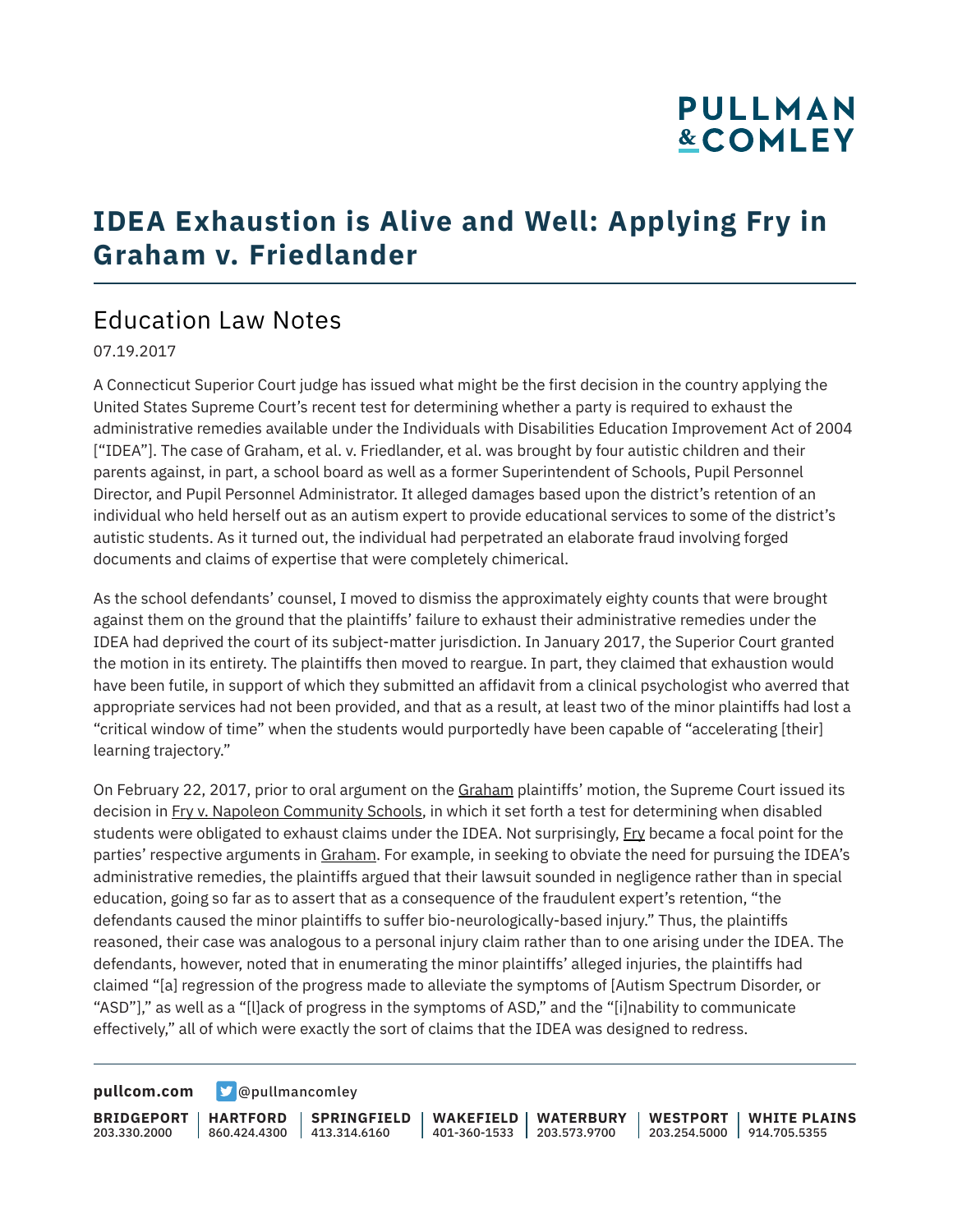# **PULLMAN &COMLEY**

## **IDEA Exhaustion is Alive and Well: Applying Fry in Graham v. Friedlander**

### Education Law Notes

07.19.2017

A Connecticut Superior Court judge has issued what might be the first decision in the country applying the United States Supreme Court's recent test for determining whether a party is required to exhaust the administrative remedies available under the Individuals with Disabilities Education Improvement Act of 2004 ["IDEA"]. The case of Graham, et al. v. Friedlander, et al. was brought by four autistic children and their parents against, in part, a school board as well as a former Superintendent of Schools, Pupil Personnel Director, and Pupil Personnel Administrator. It alleged damages based upon the district's retention of an individual who held herself out as an autism expert to provide educational services to some of the district's autistic students. As it turned out, the individual had perpetrated an elaborate fraud involving forged documents and claims of expertise that were completely chimerical.

As the school defendants' counsel, I moved to dismiss the approximately eighty counts that were brought against them on the ground that the plaintiffs' failure to exhaust their administrative remedies under the IDEA had deprived the court of its subject-matter jurisdiction. In January 2017, the Superior Court granted the motion in its entirety. The plaintiffs then moved to reargue. In part, they claimed that exhaustion would have been futile, in support of which they submitted an affidavit from a clinical psychologist who averred that appropriate services had not been provided, and that as a result, at least two of the minor plaintiffs had lost a "critical window of time" when the students would purportedly have been capable of "accelerating [their] learning trajectory."

On February 22, 2017, prior to oral argument on the Graham plaintiffs' motion, the Supreme Court issued its decision in Fry v. Napoleon Community Schools, in which it set forth a test for determining when disabled students were obligated to exhaust claims under the IDEA. Not surprisingly, Fry became a focal point for the parties' respective arguments in Graham. For example, in seeking to obviate the need for pursuing the IDEA's administrative remedies, the plaintiffs argued that their lawsuit sounded in negligence rather than in special education, going so far as to assert that as a consequence of the fraudulent expert's retention, "the defendants caused the minor plaintiffs to suffer bio-neurologically-based injury." Thus, the plaintiffs reasoned, their case was analogous to a personal injury claim rather than to one arising under the IDEA. The defendants, however, noted that in enumerating the minor plaintiffs' alleged injuries, the plaintiffs had claimed "[a] regression of the progress made to alleviate the symptoms of [Autism Spectrum Disorder, or "ASD"]," as well as a "[l]ack of progress in the symptoms of ASD," and the "[i]nability to communicate effectively," all of which were exactly the sort of claims that the IDEA was designed to redress.

**[pullcom.com](https://www.pullcom.com) g** [@pullmancomley](https://twitter.com/PullmanComley)

**BRIDGEPORT** 203.330.2000

**HARTFORD**

860.424.4300 413.314.6160 **SPRINGFIELD** **WAKEFIELD WATERBURY** 401-360-1533 203.573.9700